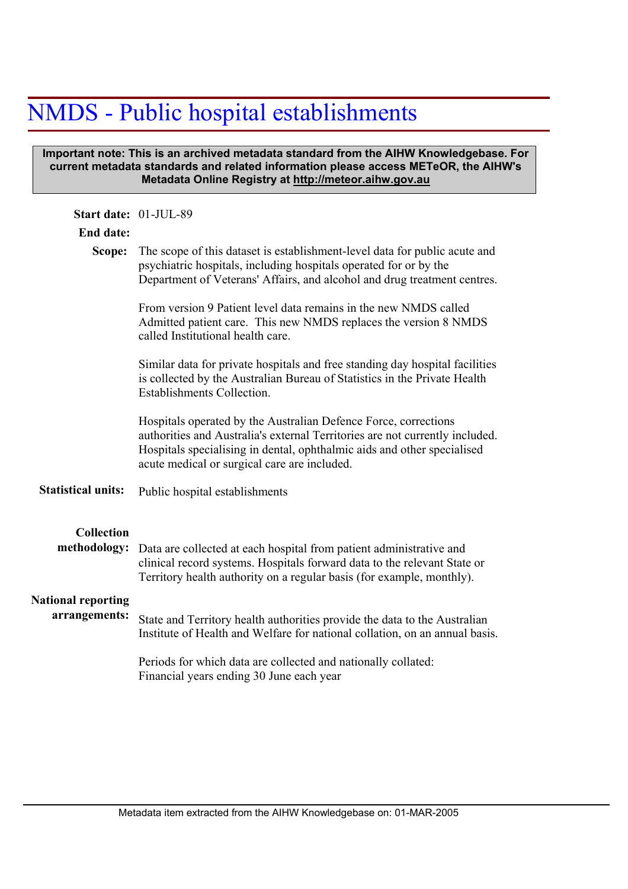## NMDS - Public hospital establishments

## **Important note: This is an archived metadata standard from the AIHW Knowledgebase. For current metadata standards and related information please access METeOR, the AIHW's Metadata Online Registry at http://meteor.aihw.gov.au**

| Start date: 01-JUL-89             |                                                                                                                                                                                                                                                                            |  |  |  |  |
|-----------------------------------|----------------------------------------------------------------------------------------------------------------------------------------------------------------------------------------------------------------------------------------------------------------------------|--|--|--|--|
| <b>End date:</b>                  |                                                                                                                                                                                                                                                                            |  |  |  |  |
| Scope:                            | The scope of this dataset is establishment-level data for public acute and<br>psychiatric hospitals, including hospitals operated for or by the<br>Department of Veterans' Affairs, and alcohol and drug treatment centres.                                                |  |  |  |  |
|                                   | From version 9 Patient level data remains in the new NMDS called<br>Admitted patient care. This new NMDS replaces the version 8 NMDS<br>called Institutional health care.                                                                                                  |  |  |  |  |
|                                   | Similar data for private hospitals and free standing day hospital facilities<br>is collected by the Australian Bureau of Statistics in the Private Health<br><b>Establishments Collection.</b>                                                                             |  |  |  |  |
|                                   | Hospitals operated by the Australian Defence Force, corrections<br>authorities and Australia's external Territories are not currently included.<br>Hospitals specialising in dental, ophthalmic aids and other specialised<br>acute medical or surgical care are included. |  |  |  |  |
| <b>Statistical units:</b>         | Public hospital establishments                                                                                                                                                                                                                                             |  |  |  |  |
| <b>Collection</b><br>methodology: | Data are collected at each hospital from patient administrative and<br>clinical record systems. Hospitals forward data to the relevant State or<br>Territory health authority on a regular basis (for example, monthly).                                                   |  |  |  |  |
| <b>National reporting</b>         |                                                                                                                                                                                                                                                                            |  |  |  |  |
| arrangements:                     | State and Territory health authorities provide the data to the Australian<br>Institute of Health and Welfare for national collation, on an annual basis.                                                                                                                   |  |  |  |  |
|                                   | Periods for which data are collected and nationally collated:<br>Financial years ending 30 June each year                                                                                                                                                                  |  |  |  |  |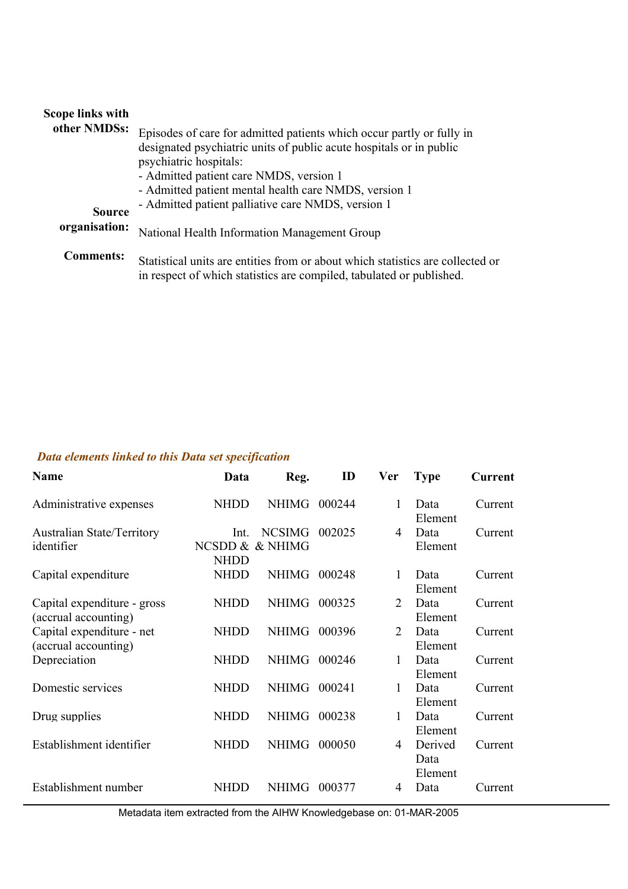## **Scope links with**

| other NMDSs:     | Episodes of care for admitted patients which occur partly or fully in<br>designated psychiatric units of public acute hospitals or in public<br>psychiatric hospitals:<br>- Admitted patient care NMDS, version 1<br>- Admitted patient mental health care NMDS, version 1 |
|------------------|----------------------------------------------------------------------------------------------------------------------------------------------------------------------------------------------------------------------------------------------------------------------------|
| <b>Source</b>    | - Admitted patient palliative care NMDS, version 1                                                                                                                                                                                                                         |
| organisation:    | National Health Information Management Group                                                                                                                                                                                                                               |
| <b>Comments:</b> | Statistical units are entities from or about which statistics are collected or<br>in respect of which statistics are compiled, tabulated or published.                                                                                                                     |

## *Data elements linked to this Data set specification*

| <b>Name</b>                                         | Data                | Reg.                             | ID     | <b>Ver</b>     | <b>Type</b>                | <b>Current</b> |
|-----------------------------------------------------|---------------------|----------------------------------|--------|----------------|----------------------------|----------------|
| Administrative expenses                             | <b>NHDD</b>         | <b>NHIMG</b>                     | 000244 | 1              | Data<br>Element            | Current        |
| <b>Australian State/Territory</b><br>identifier     | Int.<br><b>NHDD</b> | <b>NCSIMG</b><br>NCSDD & & NHIMG | 002025 | $\overline{4}$ | Data<br>Element            | Current        |
| Capital expenditure                                 | <b>NHDD</b>         | <b>NHIMG</b>                     | 000248 | 1              | Data<br>Element            | Current        |
| Capital expenditure - gross<br>(accrual accounting) | <b>NHDD</b>         | <b>NHIMG</b>                     | 000325 | 2              | Data<br>Element            | Current        |
| Capital expenditure - net<br>(accrual accounting)   | <b>NHDD</b>         | <b>NHIMG</b>                     | 000396 | 2              | Data<br>Element            | Current        |
| Depreciation                                        | <b>NHDD</b>         | <b>NHIMG</b>                     | 000246 | 1              | Data<br>Element            | Current        |
| Domestic services                                   | <b>NHDD</b>         | NHIMG                            | 000241 | 1              | Data<br>Element            | Current        |
| Drug supplies                                       | <b>NHDD</b>         | <b>NHIMG</b>                     | 000238 | 1              | Data<br>Element            | Current        |
| Establishment identifier                            | <b>NHDD</b>         | <b>NHIMG</b>                     | 000050 | 4              | Derived<br>Data<br>Element | Current        |
| Establishment number                                | NHDD                | <b>NHIMG</b>                     | 000377 | 4              | Data                       | Current        |

Metadata item extracted from the AIHW Knowledgebase on: 01-MAR-2005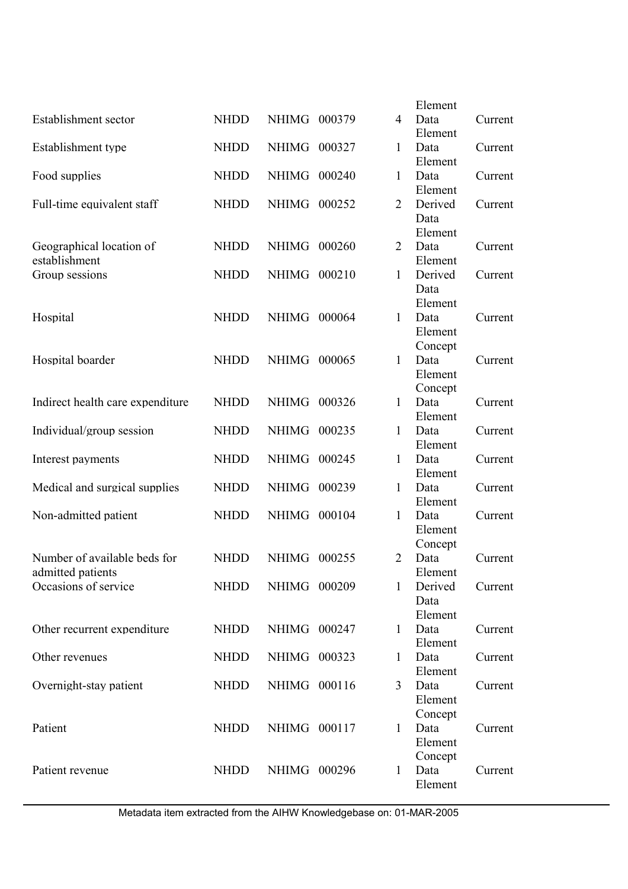|                                  |             |              |        |                | Element |         |
|----------------------------------|-------------|--------------|--------|----------------|---------|---------|
| Establishment sector             | <b>NHDD</b> | <b>NHIMG</b> | 000379 | 4              | Data    | Current |
|                                  |             |              |        |                | Element |         |
| Establishment type               | <b>NHDD</b> | <b>NHIMG</b> | 000327 | 1              | Data    | Current |
|                                  |             |              |        |                | Element |         |
| Food supplies                    | <b>NHDD</b> | <b>NHIMG</b> | 000240 | 1              | Data    | Current |
|                                  |             |              |        |                | Element |         |
| Full-time equivalent staff       | <b>NHDD</b> | <b>NHIMG</b> | 000252 | $\overline{2}$ | Derived | Current |
|                                  |             |              |        |                | Data    |         |
|                                  |             |              |        |                | Element |         |
| Geographical location of         | <b>NHDD</b> | <b>NHIMG</b> | 000260 | $\overline{2}$ | Data    | Current |
| establishment                    |             |              |        |                | Element |         |
| Group sessions                   | <b>NHDD</b> | NHIMG        | 000210 | $\mathbf{1}$   | Derived | Current |
|                                  |             |              |        |                | Data    |         |
|                                  |             |              |        |                | Element |         |
| Hospital                         | <b>NHDD</b> | <b>NHIMG</b> | 000064 | $\mathbf{1}$   | Data    | Current |
|                                  |             |              |        |                | Element |         |
|                                  |             |              |        |                | Concept |         |
| Hospital boarder                 | <b>NHDD</b> | <b>NHIMG</b> | 000065 | $\mathbf{1}$   | Data    | Current |
|                                  |             |              |        |                | Element |         |
|                                  |             |              |        |                | Concept |         |
| Indirect health care expenditure | <b>NHDD</b> | NHIMG        | 000326 | $\mathbf{1}$   | Data    | Current |
|                                  |             |              |        |                | Element |         |
| Individual/group session         | <b>NHDD</b> | <b>NHIMG</b> | 000235 | 1              | Data    | Current |
|                                  |             |              |        |                | Element |         |
| Interest payments                | <b>NHDD</b> | <b>NHIMG</b> | 000245 | $\mathbf{1}$   | Data    | Current |
|                                  |             |              |        |                | Element |         |
| Medical and surgical supplies    | <b>NHDD</b> | <b>NHIMG</b> | 000239 | 1              | Data    | Current |
|                                  |             |              |        |                | Element |         |
| Non-admitted patient             | <b>NHDD</b> | <b>NHIMG</b> | 000104 | $\mathbf{1}$   | Data    | Current |
|                                  |             |              |        |                | Element |         |
|                                  |             |              |        |                | Concept |         |
| Number of available beds for     | <b>NHDD</b> | <b>NHIMG</b> | 000255 | $\overline{2}$ | Data    | Current |
| admitted patients                |             |              |        |                | Element |         |
| Occasions of service             | <b>NHDD</b> | NHIMG 000209 |        | $\mathbf{1}$   | Derived | Current |
|                                  |             |              |        |                | Data    |         |
|                                  |             |              |        |                | Element |         |
| Other recurrent expenditure      | <b>NHDD</b> | NHIMG 000247 |        | $\mathbf{1}$   | Data    | Current |
|                                  |             |              |        |                | Element |         |
| Other revenues                   | <b>NHDD</b> | NHIMG 000323 |        | $\mathbf{1}$   | Data    | Current |
|                                  |             |              |        |                | Element |         |
| Overnight-stay patient           | <b>NHDD</b> | NHIMG 000116 |        | 3              | Data    | Current |
|                                  |             |              |        |                | Element |         |
|                                  |             |              |        |                | Concept |         |
| Patient                          | <b>NHDD</b> | NHIMG 000117 |        | $\mathbf{1}$   | Data    | Current |
|                                  |             |              |        |                | Element |         |
|                                  |             |              |        |                | Concept |         |
| Patient revenue                  | <b>NHDD</b> | NHIMG 000296 |        | $\mathbf{1}$   | Data    | Current |
|                                  |             |              |        |                | Element |         |
|                                  |             |              |        |                |         |         |